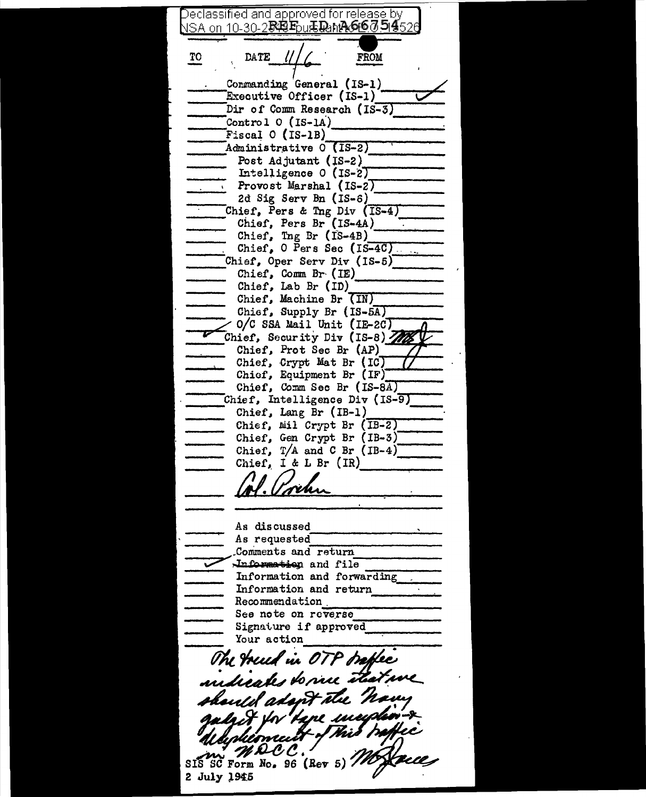Declassified and approved for release by NSA on 10-30-2**ぷ吗E<sub>DU</sub>毛见mAの67514**526 TO DATE  $\frac{1}{2}$ FROM Commanding General (IS-1) Executive Officer (IS-1) Dir of Comm Research (IS-3) Control  $0$  (IS-1A)  $Fiseal O (IS-1B)$ Administrative 0 (IS-2) Post Adjutant (IS-2) Intelligence  $0$  (IS-2) **Provost Marshal (IS-2)** 2d Sig Serv Bn  $(1S-6)$ Chief, Pers & Tng Div (IS-4) Chief, Pers Br (IS-4A) Chief,  $Tng Br (IS-4B)$ Chief,  $0$  Pers Sec (IS-4C) Chief, Oper Serv Div (IS-5) Chief, Comm Br  $(IE)$ Chief, Lab Br  $(ID)$ Chief, Machine Br (IN) Chief, Supply Br (IS-5A)  $\sim$  0/C SSA Mail Unit (IE-2C) Chief, Security Div (IS-8) Chief, Prot Sec Br (AP) Chief, Crypt Mat Br (IC) Chief, Equipment Br (IF) Chief, Comm Sec Br (IS-8A) Chief, Intelligence Div (IS-9) Chief, Lang Br  $(IB-1)$ Chief, Mil Crypt Br (IB-2) Chief, Gen Crypt Br  $(IB-3)$ Chief, T/A and C Br (IB-4)<br>Chief, I & L Br (IR) 1. Pocker As discussed As requested Comments and return Information and file Information and forwarding Information and return Recommendation See note on reverse Signature if approved Your action The trued in OTP beflee indicates to me that we should adopt the now<br>galget for type inegation + WDCC. SIS SC Form No. 96 (Rev 5) The 2 July 1945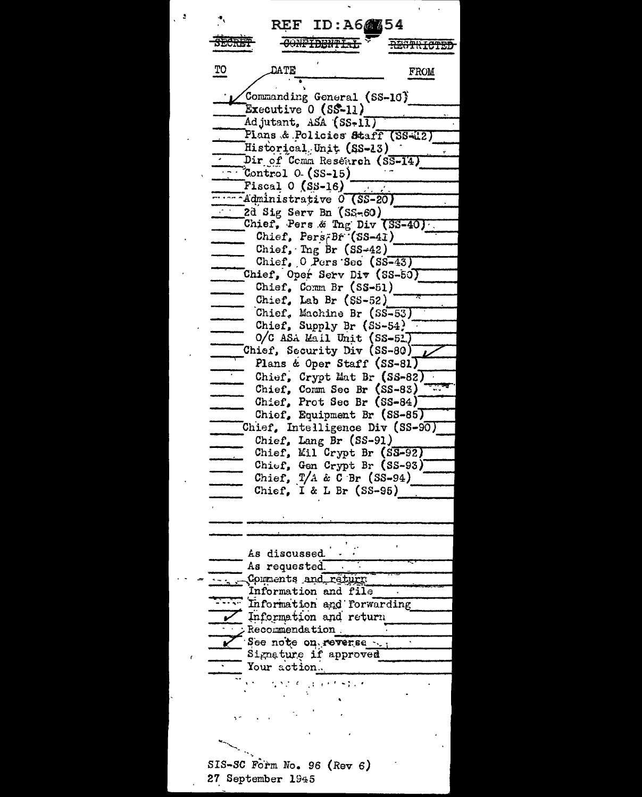REF ID:A6@ 54 Sacret CONFIDENTIAL RESTRICTED TO DA TE **FROM** Commanding General (SS-10) Executive  $0$  (SS-11) Adjutant, ASA (SS-11) Plans & Policies Staff (SS-12) Historical Unit (SS-13) Dir of Comm Research (SS-14)  $\sim$  Control 0 (SS-15) Fiscal  $0$  (SS-16) - Administrative 0 (SS-20) 2d Sig Serv Bn (SS-60) Chief, Pers & Tng Div (SS-40) Chief, Pers<sub>r</sub>Br (SS-41) Chief,  $T_{\text{mg}}$  Br (SS-42) Chief, O Pers Sec (SS-43) Chief, Oper Serv Div (SS-50) Chief, Comm Br (SS-51) Chief, Lab Br (SS-52) Chief, Machine Br (SS-53) Chief, Supply Br  $(SS-54)$  $0/C$  ASA Mail Unit (SS-51) Chief, Security Div (SS-80) Plans & Oper Staff (SS-81) Plans & Oper Deal, 112 1997<br>Chief, Crypt Mat Br (SS-82) Chief, Comm Sec Br (SS-83) Chief, Prot Sec Br (SS-84) Chief, Equipment Br (SS-85) Chief, Intelligence Div (SS-90) Chief, Lang Br (SS-91) Chief, Mil Crypt Br (SS-92) Chief, Gen Crypt Br (SS-93) Chief,  $T/A$  & C Br (SS-94) Chief. I & L Br (SS-95) As discussed. As requested. Comments and return Information and file The Information and forwarding Information and return ✔ Recommendation. See note on reverse ... Signature if approved Your action. どうさ くしおうどうさいど SIS-SC Form No. 96 (Rev 6) 27 September 1945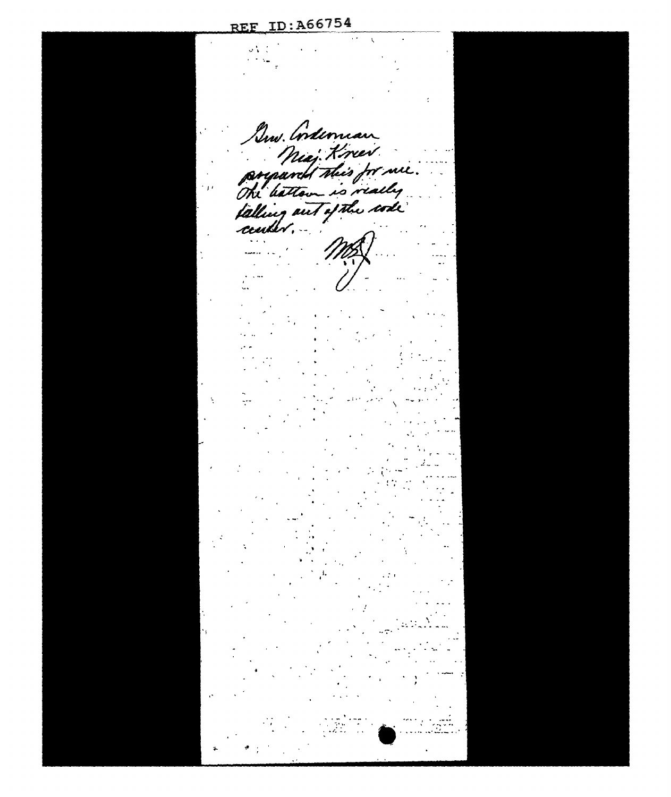$\bar{\zeta}$  $\omega_A^{\alpha\beta}$  . Suw. Cordennan<br>Miaj. Kreed.<br>Oki battoon is really.  $\cdot$  j.e.

REF ID: A66754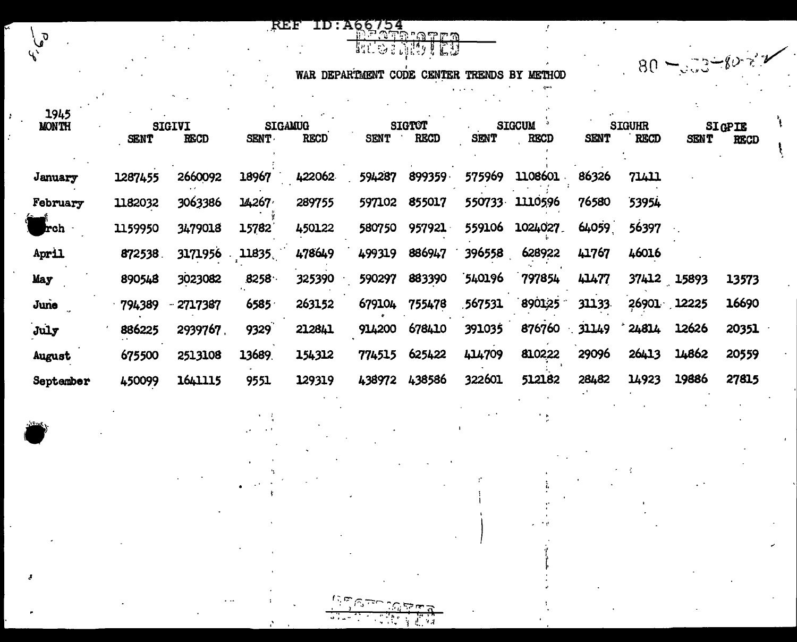## WAR DEPARTMENT CODE CENTER TRENDS BY METHOD  $rac{1}{\sqrt{2}}$

 $\pmb{\epsilon}$ 

 $80$ 

**ID: A66754** 

**REF** 

. უ

| 1945<br><b>MONTH</b> | <b>SIGIVI</b><br><b>RECD</b><br><b>SENT</b> |            | <b>SIGAMUG</b><br><b>RECD</b><br><b>SENT</b> |        | <b>SIGTOT</b><br><b>RECD</b><br><b>SENT</b> |        | <b>SIGCUM</b><br><b>SENT</b><br><b>RECD</b> |         | <b>SIGUHR</b><br><b>SENT</b><br><b>RECD</b> |       | SIGPIE<br><b>SENT</b><br><b>RECD</b> |       |
|----------------------|---------------------------------------------|------------|----------------------------------------------|--------|---------------------------------------------|--------|---------------------------------------------|---------|---------------------------------------------|-------|--------------------------------------|-------|
| January              | 1287455                                     | 2660092    | 18967                                        | 422062 | 594287                                      | 899359 | 575969                                      | 1108601 | 86326                                       | 71411 |                                      |       |
| February             | 1182032                                     | 3063386    | 14267                                        | 289755 | 597102                                      | 855017 | 550733                                      | 1110596 | 76580                                       | 53954 |                                      |       |
| rch.                 | 1159950                                     | 3479018    | 15782                                        | 450122 | 580750                                      | 957921 | 559106                                      | 1024027 | 64059                                       | 56397 |                                      |       |
| April                | 872538                                      | 3171956    | 11835                                        | 478649 | 499319                                      | 886947 | 396558                                      | 628922  | 41767                                       | 46016 |                                      |       |
| May                  | 890548                                      | 3023082    | 8258                                         | 325390 | 590297                                      | 883390 | 540196                                      | 797854  | 41477                                       |       | 37412 15893                          | 13573 |
| June                 | 794389                                      | $-2717387$ | 6585                                         | 263152 | 679104                                      | 755478 | 567531                                      | 890125  | 31133                                       |       | 26901 12225                          | 16690 |
| July                 | 886225                                      | 2939767.   | 9329                                         | 212841 | 914200                                      | 678410 | 391035                                      | 876760  | $-31149$                                    | 24814 | 12626                                | 20351 |
| August               | 675500                                      | 2513108    | 13689.                                       | 154312 | 774515                                      | 625422 | 414709                                      | 810222  | 29096                                       | 26413 | 14862                                | 20559 |
| September            | 450099                                      | 1641115    | 9551                                         | 129319 | 438972                                      | 438586 | 322601                                      | 512182  | 28482                                       | 14923 | 19886                                | 27815 |

ि क

عشدانيا

 $\pm$  ,  $\pm$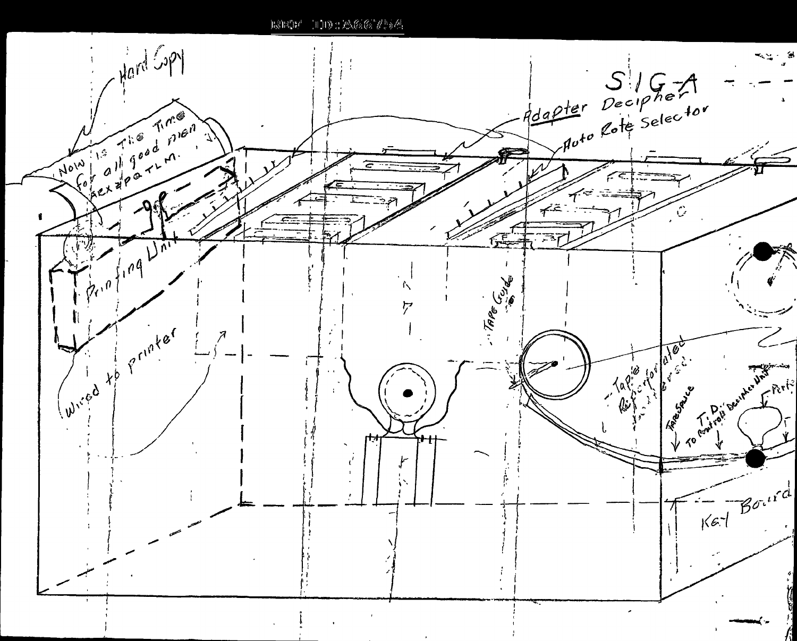E3ECE/ 100 : A6667/54